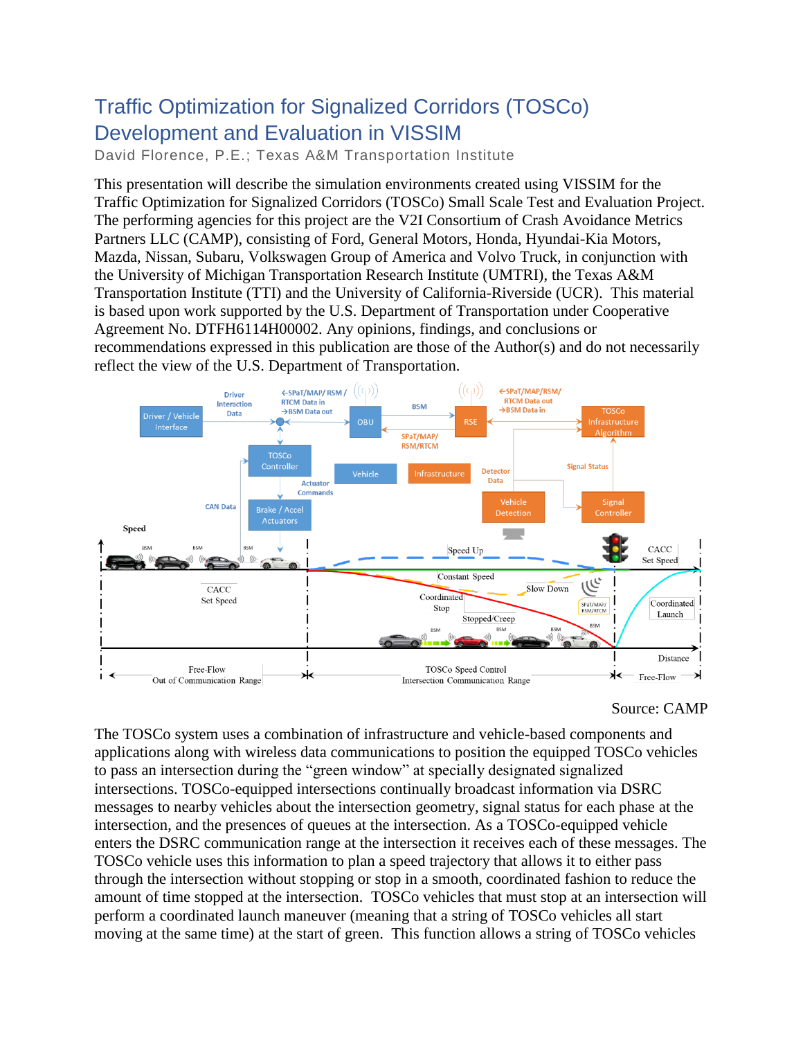## Traffic Optimization for Signalized Corridors (TOSCo) Development and Evaluation in VISSIM

David Florence, P.E.; Texas A&M Transportation Institute

This presentation will describe the simulation environments created using VISSIM for the Traffic Optimization for Signalized Corridors (TOSCo) Small Scale Test and Evaluation Project. The performing agencies for this project are the V2I Consortium of Crash Avoidance Metrics Partners LLC (CAMP), consisting of Ford, General Motors, Honda, Hyundai-Kia Motors, Mazda, Nissan, Subaru, Volkswagen Group of America and Volvo Truck, in conjunction with the University of Michigan Transportation Research Institute (UMTRI), the Texas A&M Transportation Institute (TTI) and the University of California-Riverside (UCR). This material is based upon work supported by the U.S. Department of Transportation under Cooperative Agreement No. DTFH6114H00002. Any opinions, findings, and conclusions or recommendations expressed in this publication are those of the Author(s) and do not necessarily reflect the view of the U.S. Department of Transportation.



## Source: CAMP

The TOSCo system uses a combination of infrastructure and vehicle-based components and applications along with wireless data communications to position the equipped TOSCo vehicles to pass an intersection during the "green window" at specially designated signalized intersections. TOSCo-equipped intersections continually broadcast information via DSRC messages to nearby vehicles about the intersection geometry, signal status for each phase at the intersection, and the presences of queues at the intersection. As a TOSCo-equipped vehicle enters the DSRC communication range at the intersection it receives each of these messages. The TOSCo vehicle uses this information to plan a speed trajectory that allows it to either pass through the intersection without stopping or stop in a smooth, coordinated fashion to reduce the amount of time stopped at the intersection. TOSCo vehicles that must stop at an intersection will perform a coordinated launch maneuver (meaning that a string of TOSCo vehicles all start moving at the same time) at the start of green. This function allows a string of TOSCo vehicles